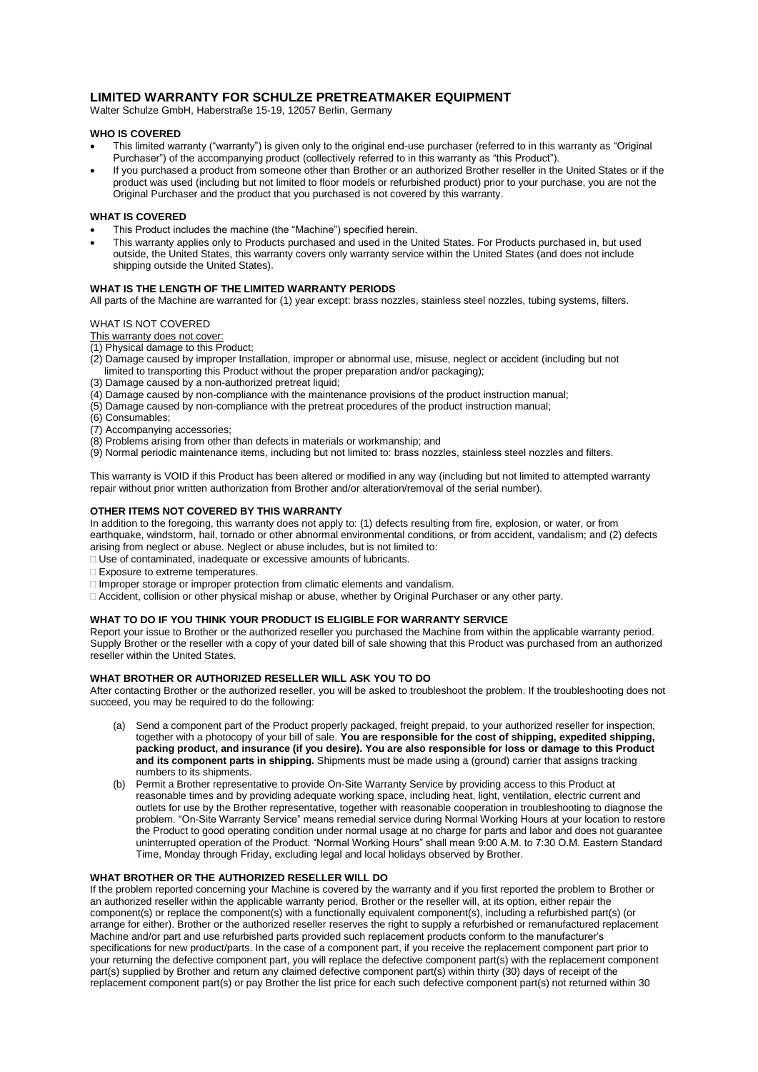# **LIMITED WARRANTY FOR SCHULZE PRETREATMAKER EQUIPMENT**

Walter Schulze GmbH, Haberstraße 15-19, 12057 Berlin, Germany

# **WHO IS COVERED**

- This limited warranty ("warranty") is given only to the original end-use purchaser (referred to in this warranty as "Original Purchaser") of the accompanying product (collectively referred to in this warranty as "this Product").
- If you purchased a product from someone other than Brother or an authorized Brother reseller in the United States or if the product was used (including but not limited to floor models or refurbished product) prior to your purchase, you are not the Original Purchaser and the product that you purchased is not covered by this warranty.

#### **WHAT IS COVERED**

- This Product includes the machine (the "Machine") specified herein.
- This warranty applies only to Products purchased and used in the United States. For Products purchased in, but used outside, the United States, this warranty covers only warranty service within the United States (and does not include shipping outside the United States).

# **WHAT IS THE LENGTH OF THE LIMITED WARRANTY PERIODS**

All parts of the Machine are warranted for (1) year except: brass nozzles, stainless steel nozzles, tubing systems, filters.

#### WHAT IS NOT COVERED

This warranty does not cover:

(1) Physical damage to this Product;

- (2) Damage caused by improper Installation, improper or abnormal use, misuse, neglect or accident (including but not limited to transporting this Product without the proper preparation and/or packaging);
- (3) Damage caused by a non-authorized pretreat liquid;
- (4) Damage caused by non-compliance with the maintenance provisions of the product instruction manual;
- (5) Damage caused by non-compliance with the pretreat procedures of the product instruction manual;
- (6) Consumables;
- (7) Accompanying accessories;
- (8) Problems arising from other than defects in materials or workmanship; and
- (9) Normal periodic maintenance items, including but not limited to: brass nozzles, stainless steel nozzles and filters.

This warranty is VOID if this Product has been altered or modified in any way (including but not limited to attempted warranty repair without prior written authorization from Brother and/or alteration/removal of the serial number).

# **OTHER ITEMS NOT COVERED BY THIS WARRANTY**

In addition to the foregoing, this warranty does not apply to: (1) defects resulting from fire, explosion, or water, or from earthquake, windstorm, hail, tornado or other abnormal environmental conditions, or from accident, vandalism; and (2) defects arising from neglect or abuse. Neglect or abuse includes, but is not limited to:

- Use of contaminated, inadequate or excessive amounts of lubricants.
- Exposure to extreme temperatures.
- $\Box$  Improper storage or improper protection from climatic elements and vandalism.
- □ Accident, collision or other physical mishap or abuse, whether by Original Purchaser or any other party.

### **WHAT TO DO IF YOU THINK YOUR PRODUCT IS ELIGIBLE FOR WARRANTY SERVICE**

Report your issue to Brother or the authorized reseller you purchased the Machine from within the applicable warranty period. Supply Brother or the reseller with a copy of your dated bill of sale showing that this Product was purchased from an authorized reseller within the United States.

### **WHAT BROTHER OR AUTHORIZED RESELLER WILL ASK YOU TO DO**

After contacting Brother or the authorized reseller, you will be asked to troubleshoot the problem. If the troubleshooting does not succeed, you may be required to do the following:

- (a) Send a component part of the Product properly packaged, freight prepaid, to your authorized reseller for inspection, together with a photocopy of your bill of sale. **You are responsible for the cost of shipping, expedited shipping, packing product, and insurance (if you desire). You are also responsible for loss or damage to this Product and its component parts in shipping.** Shipments must be made using a (ground) carrier that assigns tracking numbers to its shipments.
- (b) Permit a Brother representative to provide On-Site Warranty Service by providing access to this Product at reasonable times and by providing adequate working space, including heat, light, ventilation, electric current and outlets for use by the Brother representative, together with reasonable cooperation in troubleshooting to diagnose the problem. "On-Site Warranty Service" means remedial service during Normal Working Hours at your location to restore the Product to good operating condition under normal usage at no charge for parts and labor and does not guarantee uninterrupted operation of the Product. "Normal Working Hours" shall mean 9:00 A.M. to 7:30 O.M. Eastern Standard Time, Monday through Friday, excluding legal and local holidays observed by Brother.

# **WHAT BROTHER OR THE AUTHORIZED RESELLER WILL DO**

If the problem reported concerning your Machine is covered by the warranty and if you first reported the problem to Brother or an authorized reseller within the applicable warranty period, Brother or the reseller will, at its option, either repair the component(s) or replace the component(s) with a functionally equivalent component(s), including a refurbished part(s) (or arrange for either). Brother or the authorized reseller reserves the right to supply a refurbished or remanufactured replacement Machine and/or part and use refurbished parts provided such replacement products conform to the manufacturer's specifications for new product/parts. In the case of a component part, if you receive the replacement component part prior to your returning the defective component part, you will replace the defective component part(s) with the replacement component part(s) supplied by Brother and return any claimed defective component part(s) within thirty (30) days of receipt of the replacement component part(s) or pay Brother the list price for each such defective component part(s) not returned within 30